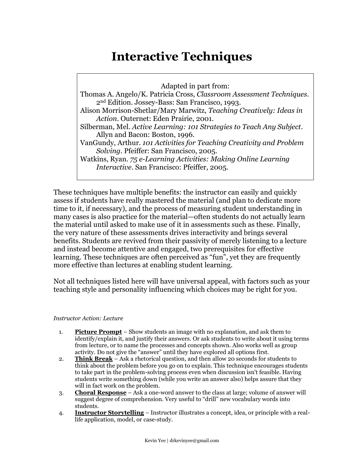# **Interactive Techniques**

Adapted in part from:

Thomas A. Angelo/K. Patricia Cross, *Classroom Assessment Techniques*. 2nd Edition. Jossey-Bass: San Francisco, 1993. Alison Morrison-Shetlar/Mary Marwitz, *Teaching Creatively: Ideas in Action*. Outernet: Eden Prairie, 2001. Silberman, Mel. *Active Learning: 101 Strategies to Teach Any Subject*. Allyn and Bacon: Boston, 1996. VanGundy, Arthur. *101 Activities for Teaching Creativity and Problem Solving*. Pfeiffer: San Francisco, 2005. Watkins, Ryan. *75 e-Learning Activities: Making Online Learning Interactive*. San Francisco: Pfeiffer, 2005.

These techniques have multiple benefits: the instructor can easily and quickly assess if students have really mastered the material (and plan to dedicate more time to it, if necessary), and the process of measuring student understanding in many cases is also practice for the material—often students do not actually learn the material until asked to make use of it in assessments such as these. Finally, the very nature of these assessments drives interactivity and brings several benefits. Students are revived from their passivity of merely listening to a lecture and instead become attentive and engaged, two prerequisites for effective learning. These techniques are often perceived as "fun", yet they are frequently more effective than lectures at enabling student learning.

Not all techniques listed here will have universal appeal, with factors such as your teaching style and personality influencing which choices may be right for you.

# *Instructor Action: Lecture*

- 1. **Picture Prompt** Show students an image with no explanation, and ask them to identify/explain it, and justify their answers. Or ask students to write about it using terms from lecture, or to name the processes and concepts shown. Also works well as group activity. Do not give the "answer" until they have explored all options first.
- 2. **Think Break** Ask a rhetorical question, and then allow 20 seconds for students to think about the problem before you go on to explain. This technique encourages students to take part in the problem-solving process even when discussion isn't feasible. Having students write something down (while you write an answer also) helps assure that they will in fact work on the problem.
- 3. **Choral Response** Ask a one-word answer to the class at large; volume of answer will suggest degree of comprehension. Very useful to "drill" new vocabulary words into students.
- 4. **Instructor Storytelling** Instructor illustrates a concept, idea, or principle with a reallife application, model, or case-study.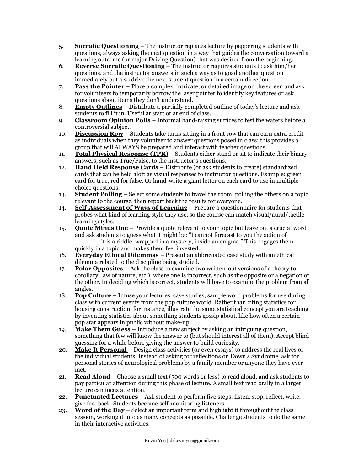- 5. **Socratic Questioning**  The instructor replaces lecture by peppering students with questions, always asking the next question in a way that guides the conversation toward a learning outcome (or major Driving Question) that was desired from the beginning.
- 6. **Reverse Socratic Questioning**  The instructor requires students to ask him/her questions, and the instructor answers in such a way as to goad another question immediately but also drive the next student question in a certain direction.
- 7. **Pass the Pointer**  Place a complex, intricate, or detailed image on the screen and ask for volunteers to temporarily borrow the laser pointer to identify key features or ask questions about items they don't understand.
- 8. **Empty Outlines** Distribute a partially completed outline of today's lecture and ask students to fill it in. Useful at start or at end of class.
- 9. **Classroom Opinion Polls** Informal hand-raising suffices to test the waters before a controversial subject.
- 10. **Discussion Row** Students take turns sitting in a front row that can earn extra credit as individuals when they volunteer to answer questions posed in class; this provides a group that will ALWAYS be prepared and interact with teacher questions.
- 11. **Total Physical Response (TPR)** Students either stand or sit to indicate their binary answers, such as True/False, to the instructor's questions.
- 12. **Hand Held Response Cards**  Distribute (or ask students to create) standardized cards that can be held aloft as visual responses to instructor questions. Example: green card for true, red for false. Or hand-write a giant letter on each card to use in multiple choice questions.
- 13. **Student Polling**  Select some students to travel the room, polling the others on a topic relevant to the course, then report back the results for everyone.
- 14. **Self-Assessment of Ways of Learning** Prepare a questionnaire for students that probes what kind of learning style they use, so the course can match visual/aural/tactile learning styles.
- 15. **Quote Minus One** Provide a quote relevant to your topic but leave out a crucial word and ask students to guess what it might be: "I cannot forecast to you the action of \_\_\_\_\_\_; it is a riddle, wrapped in a mystery, inside an enigma.‖ This engages them quickly in a topic and makes them feel invested.
- 16. **Everyday Ethical Dilemmas** Present an abbreviated case study with an ethical dilemma related to the discipline being studied.
- 17. **Polar Opposites** Ask the class to examine two written-out versions of a theory (or corollary, law of nature, etc.), where one is incorrect, such as the opposite or a negation of the other. In deciding which is correct, students will have to examine the problem from all angles.
- 18. **Pop Culture** Infuse your lectures, case studies, sample word problems for use during class with current events from the pop culture world. Rather than citing statistics for housing construction, for instance, illustrate the same statistical concept you are teaching by inventing statistics about something students gossip about, like how often a certain pop star appears in public without make-up.
- 19. **Make Them Guess**  Introduce a new subject by asking an intriguing question, something that few will know the answer to (but should interest all of them). Accept blind guessing for a while before giving the answer to build curiosity.
- 20. **Make It Personal**  Design class activities (or even essays) to address the real lives of the individual students. Instead of asking for reflections on Down's Syndrome, ask for personal stories of neurological problems by a family member or anyone they have ever met.
- 21. **Read Aloud**  Choose a small text (500 words or less) to read aloud, and ask students to pay particular attention during this phase of lecture. A small text read orally in a larger lecture can focus attention.
- 22. **Punctuated Lectures** Ask student to perform five steps: listen, stop, reflect, write, give feedback. Students become self-monitoring listeners.
- 23. **Word of the Day** Select an important term and highlight it throughout the class session, working it into as many concepts as possible. Challenge students to do the same in their interactive activities.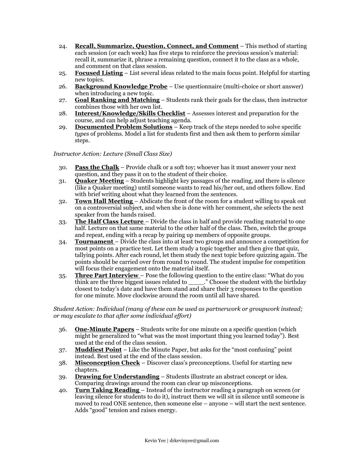- 24. **Recall, Summarize, Question, Connect, and Comment** This method of starting each session (or each week) has five steps to reinforce the previous session's material: recall it, summarize it, phrase a remaining question, connect it to the class as a whole, and comment on that class session.
- 25. **Focused Listing** List several ideas related to the main focus point. Helpful for starting new topics.
- 26. **Background Knowledge Probe** Use questionnaire (multi-choice or short answer) when introducing a new topic.
- 27. **Goal Ranking and Matching** Students rank their goals for the class, then instructor combines those with her own list.
- 28. **Interest/Knowledge/Skills Checklist** Assesses interest and preparation for the course, and can help adjust teaching agenda.
- 29. **Documented Problem Solutions** Keep track of the steps needed to solve specific *types* of problems. Model a list for students first and then ask them to perform similar steps.

*Instructor Action: Lecture (Small Class Size)*

- 30. **Pass the Chalk** Provide chalk or a soft toy; whoever has it must answer your next question, and they pass it on to the student of their choice.
- 31. **Quaker Meeting** Students highlight key passages of the reading, and there is silence (like a Quaker meeting) until someone wants to read his/her out, and others follow. End with brief writing about what they learned from the sentences.
- 32. **Town Hall Meeting**  Abdicate the front of the room for a student willing to speak out on a controversial subject, and when she is done with her comment, she selects the next speaker from the hands raised.
- 33. **The Half Class Lecture**  Divide the class in half and provide reading material to one half. Lecture on that same material to the other half of the class. Then, switch the groups and repeat, ending with a recap by pairing up members of opposite groups.
- 34. **Tournament**  Divide the class into at least two groups and announce a competition for most points on a practice test. Let them study a topic together and then give that quiz, tallying points. After each round, let them study the next topic before quizzing again. The points should be carried over from round to round. The student impulse for competition will focus their engagement onto the material itself.
- 35. **Three Part Interview** Pose the following question to the entire class: "What do you think are the three biggest issues related to \_\_\_\_\_." Choose the student with the birthday closest to today's date and have them stand and share their 3 responses to the question for one minute. Move clockwise around the room until all have shared.

*Student Action: Individual (many of these can be used as partnerwork or groupwork instead; or may escalate to that after some individual effort)*

- 36. **One-Minute Papers** Students write for one minute on a specific question (which might be generalized to "what was the most important thing you learned today"). Best used at the end of the class session.
- 37. **Muddiest Point** Like the Minute Paper, but asks for the "most confusing" point instead. Best used at the end of the class session.
- 38. **Misconception Check** Discover class's preconceptions. Useful for starting new chapters.
- 39. **Drawing for Understanding** Students illustrate an abstract concept or idea. Comparing drawings around the room can clear up misconceptions.
- 40. **Turn Taking Reading**  Instead of the instructor reading a paragraph on screen (or leaving silence for students to do it), instruct them we will sit in silence until someone is moved to read ONE sentence, then someone else – anyone – will start the next sentence. Adds "good" tension and raises energy.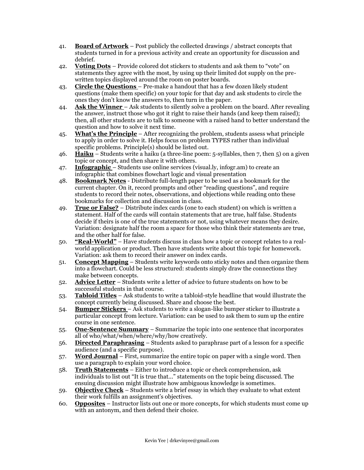- 41. **Board of Artwork** Post publicly the collected drawings / abstract concepts that students turned in for a previous activity and create an opportunity for discussion and debrief.
- 42. **Voting Dots** Provide colored dot stickers to students and ask them to "vote" on statements they agree with the most, by using up their limited dot supply on the prewritten topics displayed around the room on poster boards.
- 43. **Circle the Questions**  Pre-make a handout that has a few dozen likely student questions (make them specific) on your topic for that day and ask students to circle the ones they don't know the answers to, then turn in the paper.
- 44. **Ask the Winner**  Ask students to silently solve a problem on the board. After revealing the answer, instruct those who got it right to raise their hands (and keep them raised); then, all other students are to talk to someone with a raised hand to better understand the question and how to solve it next time.
- 45. **What's the Principle** After recognizing the problem, students assess what principle to apply in order to solve it. Helps focus on problem TYPES rather than individual specific problems. Principle(s) should be listed out.
- 46. **Haiku** Students write a haiku (a three-line poem: 5-syllables, then 7, then 5) on a given topic or concept, and then share it with others.
- 47. **Infographic**  Students use online services (visual.ly, infogr.am) to create an infographic that combines flowchart logic and visual presentation
- 48. **Bookmark Notes** Distribute full-length paper to be used as a bookmark for the current chapter. On it, record prompts and other "reading questions", and require students to record their notes, observations, and objections while reading onto these bookmarks for collection and discussion in class.
- 49. **True or False?** Distribute index cards (one to each student) on which is written a statement. Half of the cards will contain statements that are true, half false. Students decide if theirs is one of the true statements or not, using whatever means they desire. Variation: designate half the room a space for those who think their statements are true, and the other half for false.
- 50. **"Real-World"** Have students discuss in class how a topic or concept relates to a realworld application or product. Then have students write about this topic for homework. Variation: ask them to record their answer on index cards.
- 51. **Concept Mapping** Students write keywords onto sticky notes and then organize them into a flowchart. Could be less structured: students simply draw the connections they make between concepts.
- 52. **Advice Letter** Students write a letter of advice to future students on how to be successful students in that course.
- 53. **Tabloid Titles** Ask students to write a tabloid-style headline that would illustrate the concept currently being discussed. Share and choose the best.
- 54. **Bumper Stickers**  Ask students to write a slogan-like bumper sticker to illustrate a particular concept from lecture. Variation: can be used to ask them to sum up the entire course in one sentence.
- 55. **One-Sentence Summary** Summarize the topic into one sentence that incorporates all of who/what/when/where/why/how creatively.
- 56. **Directed Paraphrasing** Students asked to paraphrase part of a lesson for a specific audience (and a specific purpose).
- 57. **Word Journal** First, summarize the entire topic on paper with a single word. Then use a paragraph to explain your word choice.
- 58. **Truth Statements** Either to introduce a topic or check comprehension, ask individuals to list out "It is true that..." statements on the topic being discussed. The ensuing discussion might illustrate how ambiguous knowledge is sometimes.
- 59. **Objective Check** Students write a brief essay in which they evaluate to what extent their work fulfills an assignment's objectives.
- 60. **Opposites** Instructor lists out one or more concepts, for which students must come up with an antonym, and then defend their choice.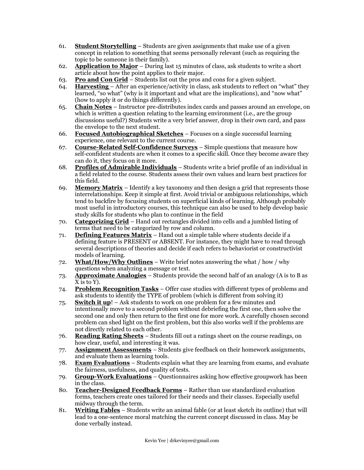- 61. **Student Storytelling** Students are given assignments that make use of a given concept in relation to something that seems personally relevant (such as requiring the topic to be someone in their family).
- 62. **Application to Major** During last 15 minutes of class, ask students to write a short article about how the point applies to their major.
- 63. **Pro and Con Grid** Students list out the pros and cons for a given subject.
- 64. **Harvesting** After an experience/activity in class, ask students to reflect on "what" they learned, "so what" (why is it important and what are the implications), and "now what" (how to apply it or do things differently).
- 65. **Chain Notes** Instructor pre-distributes index cards and passes around an envelope, on which is written a question relating to the learning environment (i.e., are the group discussions useful?) Students write a very brief answer, drop in their own card, and pass the envelope to the next student.
- 66. **Focused Autobiographical Sketches** Focuses on a single successful learning experience, one relevant to the current course.
- 67. **Course-Related Self-Confidence Surveys** Simple questions that measure how self-confident students are when it comes to a specific skill. Once they become aware they can do it, they focus on it more.
- 68. **Profiles of Admirable Individuals** Students write a brief profile of an individual in a field related to the course. Students assess their own values and learn best practices for this field.
- 69. **Memory Matrix** Identify a key taxonomy and then design a grid that represents those interrelationships. Keep it simple at first. Avoid trivial or ambiguous relationships, which tend to backfire by focusing students on superficial kinds of learning. Although probably most useful in introductory courses, this technique can also be used to help develop basic study skills for students who plan to continue in the field
- 70. **Categorizing Grid** Hand out rectangles divided into cells and a jumbled listing of terms that need to be categorized by row and column.
- 71. **Defining Features Matrix** Hand out a simple table where students decide if a defining feature is PRESENT or ABSENT. For instance, they might have to read through several descriptions of theories and decide if each refers to behaviorist or constructivist models of learning.
- 72. **What/How/Why Outlines** Write brief notes answering the what / how / why questions when analyzing a message or text.
- 73. **Approximate Analogies** Students provide the second half of an analogy (A is to B as X is to Y).
- 74. **Problem Recognition Tasks** Offer case studies with different types of problems and ask students to identify the TYPE of problem (which is different from solving it)
- 75. **Switch it up**! Ask students to work on one problem for a few minutes and intentionally move to a second problem without debriefing the first one, then solve the second one and only then return to the first one for more work. A carefully chosen second problem can shed light on the first problem, but this also works well if the problems are not directly related to each other.
- 76. **Reading Rating Sheets** Students fill out a ratings sheet on the course readings, on how clear, useful, and interesting it was.
- 77. **Assignment Assessments** Students give feedback on their homework assignments, and evaluate them as learning tools.
- 78. **Exam Evaluations** Students explain what they are learning from exams, and evaluate the fairness, usefulness, and quality of tests.
- 79. **Group-Work Evaluations** Questionnaires asking how effective groupwork has been in the class.
- 80. **Teacher-Designed Feedback Forms** Rather than use standardized evaluation forms, teachers create ones tailored for their needs and their classes. Especially useful midway through the term.
- 81. **Writing Fables** Students write an animal fable (or at least sketch its outline) that will lead to a one-sentence moral matching the current concept discussed in class. May be done verbally instead.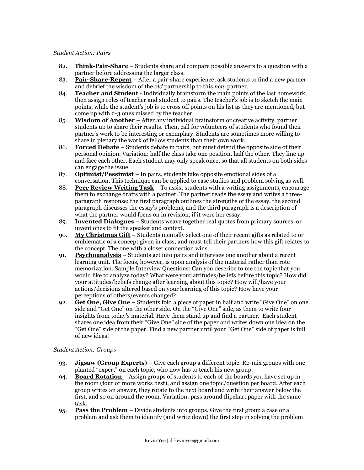#### *Student Action: Pairs*

- 82. **Think-Pair-Share** Students share and compare possible answers to a question with a partner before addressing the larger class.
- 83. **Pair-Share-Repeat** After a pair-share experience, ask students to find a new partner and debrief the wisdom of the *old* partnership to this *new* partner.
- 84. **Teacher and Student**  Individually brainstorm the main points of the last homework, then assign roles of teacher and student to pairs. The teacher's job is to sketch the main points, while the student's job is to cross off points on his list as they are mentioned, but come up with 2-3 ones missed by the teacher.
- 85. **Wisdom of Another** After any individual brainstorm or creative activity, partner students up to share their results. Then, call for volunteers of students who found their partner's work to be interesting or exemplary. Students are sometimes more willing to share in plenary the work of fellow students than their own work.
- 86. **Forced Debate** Students debate in pairs, but must defend the opposite side of their personal opinion. Variation: half the class take one position, half the other. They line up and face each other. Each student may only speak once, so that all students on both sides can engage the issue.
- 87. **Optimist/Pessimist** In pairs, students take opposite emotional sides of a conversation. This technique can be applied to case studies and problem solving as well.
- 88. **Peer Review Writing Task** To assist students with a writing assignments, encourage them to exchange drafts with a partner. The partner reads the essay and writes a threeparagraph response: the first paragraph outlines the strengths of the essay, the second paragraph discusses the essay's problems, and the third paragraph is a description of what the partner would focus on in revision, if it were her essay.
- 89. **Invented Dialogues** Students weave together real quotes from primary sources, or invent ones to fit the speaker and context.
- 90. **My Christmas Gift** Students mentally select one of their recent gifts as related to or emblematic of a concept given in class, and must tell their partners how this gift relates to the concept. The one with a closer connection wins.
- 91. **Psychoanalysis** Students get into pairs and interview one another about a recent learning unit. The focus, however, is upon analysis of the material rather than rote memorization. Sample Interview Questions: Can you describe to me the topic that you would like to analyze today? What were your attitudes/beliefs before this topic? How did your attitudes/beliefs change after learning about this topic? How will/have your actions/decisions altered based on your learning of this topic? How have your perceptions of others/events changed?
- 92. **Get One, Give One** Students fold a piece of paper in half and write "Give One" on one side and "Get One" on the other side. On the "Give One" side, as them to write four insights from today's material. Have them stand up and find a partner. Each student shares one idea from their "Give One" side of the paper and writes down one idea on the "Get One" side of the paper. Find a new partner until your "Get One" side of paper is full of new ideas!

## *Student Action: Groups*

- 93. **Jigsaw (Group Experts)** Give each group a different topic. Re-mix groups with one planted "expert" on each topic, who now has to teach his new group.
- 94. **Board Rotation**  Assign groups of students to each of the boards you have set up in the room (four or more works best), and assign one topic/question per board. After each group writes an answer, they rotate to the next board and write their answer below the first, and so on around the room. Variation: pass around flipchart paper with the same task.
- 95. **Pass the Problem** Divide students into groups. Give the first group a case or a problem and ask them to identify (and write down) the first step in solving the problem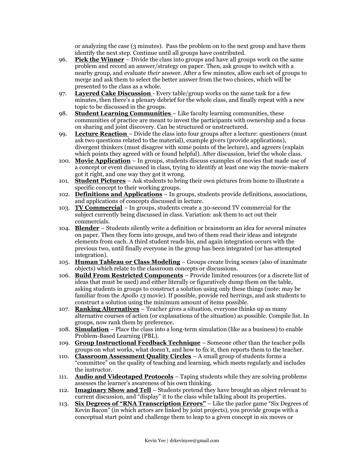or analyzing the case (3 minutes). Pass the problem on to the next group and have them identify the next step. Continue until all groups have contributed.

- 96. **Pick the Winner** Divide the class into groups and have all groups work on the same problem and record an answer/strategy on paper. Then, ask groups to switch with a nearby group, and evaluate *their* answer. After a few minutes, allow each set of groups to merge and ask them to select the better answer from the two choices, which will be presented to the class as a whole.
- 97. **Layered Cake Discussion**  Every table/group works on the same task for a few minutes, then there's a plenary debrief for the whole class, and finally repeat with a new topic to be discussed in the groups.
- 98. **Student Learning Communities**  Like faculty learning communities, these communities of practice are meant to invest the participants with ownership and a focus on sharing and joint discovery. Can be structured or unstructured.
- 99. **Lecture Reaction**  Divide the class into four groups after a lecture: questioners (must ask two questions related to the material), example givers (provide applications), divergent thinkers (must disagree with some points of the lecture), and agreers (explain which points they agreed with or found helpful). After discussion, brief the whole class.
- 100. **Movie Application** In groups, students discuss examples of movies that made use of a concept or event discussed in class, trying to identify at least one way the movie-makers got it right, and one way they got it wrong.
- 101. **Student Pictures** Ask students to bring their own pictures from home to illustrate a specific concept to their working groups.
- 102. **Definitions and Applications** In groups, students provide definitions, associations, and applications of concepts discussed in lecture.
- 103. **TV Commercial** In groups, students create a 30-second TV commercial for the subject currently being discussed in class. Variation: ask them to act out their commercials.
- 104. **Blender** Students silently write a definition or brainstorm an idea for several minutes on paper. Then they form into groups, and two of them read their ideas and integrate elements from each. A third student reads his, and again integration occurs with the previous two, until finally everyone in the group has been integrated (or has attempted integration).
- 105. **Human Tableau or Class Modeling** Groups create living scenes (also of inanimate objects) which relate to the classroom concepts or discussions.
- 106. **Build From Restricted Components** Provide limited resources (or a discrete list of ideas that must be used) and either literally or figuratively dump them on the table, asking students in groups to construct a solution using only these things (note: may be familiar from the *Apollo 13* movie). If possible, provide red herrings, and ask students to construct a solution using the minimum amount of items possible.
- 107. **Ranking Alternatives** Teacher gives a situation, everyone thinks up as many alternative courses of action (or explanations of the situation) as possible. Compile list. In groups, now rank them by preference.
- 108. **Simulation** Place the class into a long-term simulation (like as a business) to enable Problem-Based Learning (PBL).
- 109. **Group Instructional Feedback Technique** Someone other than the teacher polls groups on what works, what doesn't, and how to fix it, then reports them to the teacher.
- 110. **Classroom Assessment Quality Circles** A small group of students forms a ―committee‖ on the quality of teaching and learning, which meets regularly and includes the instructor.
- 111. **Audio and Videotaped Protocols** Taping students while they are solving problems assesses the learner's awareness of his own thinking.
- 112. **Imaginary Show and Tell** Students pretend they have brought an object relevant to current discussion, and "display" it to the class while talking about its properties.
- 113. **Six Degrees of "RNA Transcription Errors"** Like the parlor game "Six Degrees of Kevin Bacon" (in which actors are linked by joint projects), you provide groups with a conceptual start point and challenge them to leap to a given concept in six moves or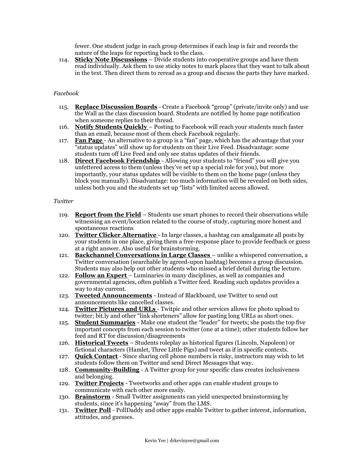fewer. One student judge in each group determines if each leap is fair and records the nature of the leaps for reporting back to the class.

114. **Sticky Note Discussions** – Divide students into cooperative groups and have them read individually. Ask them to use sticky notes to mark places that they want to talk about in the text. Then direct them to reread as a group and discuss the parts they have marked.

# *Facebook*

- 115. **Replace Discussion Boards** Create a Facebook "group" (private/invite only) and use the Wall as the class discussion board. Students are notified by home page notification when someone replies to their thread.
- 116. **Notify Students Quickly**  Posting to Facebook will reach your students much faster than an email, because most of them check Facebook regularly.
- 117. **Fan Page** An alternative to a group is a "fan" page, which has the advantage that your ―status updates‖ will show up for students on their Live Feed. Disadvantage: some students turn off Live Feed and only see status updates of their friends.
- 118. **Direct Facebook Friendship** Allowing your students to "friend" you will give you unfettered access to them (unless they've set up a special role for you), but more importantly, your status updates will be visible to them on the home page (unless they block you manually). Disadvantage: too much information will be revealed on both sides, unless both you and the students set up "lists" with limited access allowed.

## *Twitter*

- 119. **Report from the Field** Students use smart phones to record their observations while witnessing an event/location related to the course of study, capturing more honest and spontaneous reactions
- 120. **Twitter Clicker Alternative**  In large classes, a hashtag can amalgamate all posts by your students in one place, giving them a free-response place to provide feedback or guess at a right answer. Also useful for brainstorming.
- 121. **Backchannel Conversations in Large Classes**  unlike a whispered conversation, a Twitter conversation (searchable by agreed-upon hashtag) becomes a group discussion. Students may also help out other students who missed a brief detail during the lecture.
- 122. **Follow an Expert**  Luminaries in many disciplines, as well as companies and governmental agencies, often publish a Twitter feed. Reading such updates provides a way to stay current.
- 123. **Tweeted Announcements** Instead of Blackboard, use Twitter to send out announcements like cancelled classes.
- 124. **Twitter Pictures and URLs**  Twitpic and other services allows for photo upload to twitter; bit.ly and other "link shorteners" allow for pasting long URLs as short ones.
- 125. **Student Summaries** Make one student the "leader" for tweets; she posts the top five important concepts from each session to twitter (one at a time); other students follow her feed and RT for discussion/disagreements
- 126. **Historical Tweets** Students roleplay as historical figures (Lincoln, Napoleon) or fictional characters (Hamlet, Three Little Pigs) and tweet as if in specific contexts.
- 127. **Quick Contact** Since sharing cell phone numbers is risky, instructors may wish to let students follow them on Twitter and send Direct Messages that way.
- 128. **Community-Building** A Twitter group for your specific class creates inclusiveness and belonging.
- 129. **Twitter Projects** Tweetworks and other apps can enable student groups to communicate with each other more easily.
- 130. **Brainstorm** Small Twitter assignments can yield unexpected brainstorming by students, since it's happening "away" from the LMS.
- 131. **Twitter Poll** PollDaddy and other apps enable Twitter to gather interest, information, attitudes, and guesses.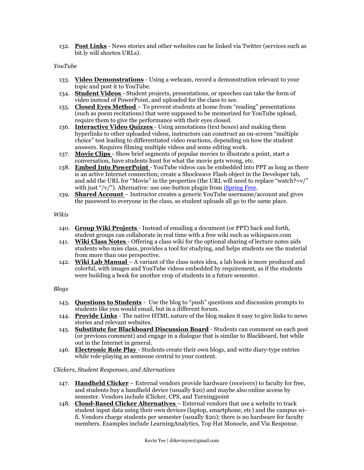132. **Post Links** - News stories and other websites can be linked via Twitter (services such as bit.ly will shorten URLs).

## *YouTube*

- 133. **Video Demonstrations** Using a webcam, record a demonstration relevant to your topic and post it to YouTube.
- 134. **Student Videos**  Student projects, presentations, or speeches can take the form of video instead of PowerPoint, and uploaded for the class to see.
- 135. **Closed Eyes Method** To prevent students at home from "reading" presentations (such as poem recitations) that were supposed to be memorized for YouTube upload, require them to give the performance with their eyes closed.
- 136. **Interactive Video Quizzes**  Using annotations (text boxes) and making them hyperlinks to other uploaded videos, instructors can construct an on-screen "multiple choice" test leading to differentiated video reactions, depending on how the student answers. Requires filming multiple videos and some editing work.
- 137. **Movie Clips**  Show brief segments of popular movies to illustrate a point, start a conversation, have students hunt for what the movie gets wrong, etc.
- 138. **Embed Into PowerPoint**  YouTube videos can be embedded into PPT as long as there is an active Internet connection; create a Shockwave Flash object in the Developer tab, and add the URL for "Movie" in the properties (the URL will need to replace "watch?=v/" with just  $\sqrt{\nu}$ . Alternative: use one-button plugin from *iSpring Free*.
- 139. **Shared Account**  Instructor creates a generic YouTube username/account and gives the password to everyone in the class, so student uploads all go to the same place.

#### *Wikis*

- 140. **Group Wiki Projects** Instead of emailing a document (or PPT) back and forth, student groups can collaborate in real time with a free wiki such as wikispaces.com
- 141. **Wiki Class Notes**  Offering a class wiki for the optional sharing of lecture notes aids students who miss class, provides a tool for studying, and helps students see the material from more than one perspective.
- 142. **Wiki Lab Manual** A variant of the class notes idea, a lab book is more produced and colorful, with images and YouTube videos embedded by requirement, as if the students were building a book for another crop of students in a future semester.

## *Blogs*

- 143. **Questions to Students** Use the blog to "push" questions and discussion prompts to students like you would email, but in a different forum.
- 144. **Provide Links** The native HTML nature of the blog makes it easy to give links to news stories and relevant websites.
- 145. **Substitute for Blackboard Discussion Board** Students can comment on each post (or previous comment) and engage in a dialogue that is similar to Blackboard, but while out in the Internet in general.
- 146. **Electronic Role Play**  Students create their own blogs, and write diary-type entries while role-playing as someone central to your content.

## *Clickers, Student Responses, and Alternatives*

- 147. **Handheld Clicker** External vendors provide hardware (receivers) to faculty for free, and students buy a handheld device (usually \$20) and maybe also online access by semester. Vendors include iClicker, CPS, and Turningpoint
- 148. **Cloud-Based Clicker Alternatives** External vendors that use a website to track student input data using their own devices (laptop, smartphone, etc) and the campus wifi. Vendors charge students per semester (usually \$20); there is no hardware for faculty members. Examples include LearningAnalytics, Top Hat Monocle, and Via Response.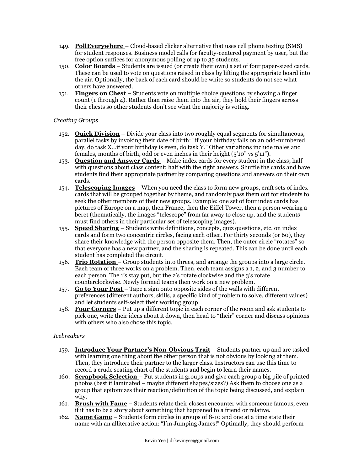- 149. **PollEverywhere**  Cloud-based clicker alternative that uses cell phone texting (SMS) for student responses. Business model calls for faculty-centered payment by user, but the free option suffices for anonymous polling of up to 35 students.
- 150. **Color Boards**  Students are issued (or create their own) a set of four paper-sized cards. These can be used to vote on questions raised in class by lifting the appropriate board into the air. Optionally, the back of each card should be white so students do not see what others have answered.
- 151. **Fingers on Chest**  Students vote on multiple choice questions by showing a finger count (1 through 4). Rather than raise them into the air, they hold their fingers across their chests so other students don't see what the majority is voting.

# *Creating Groups*

- 152. **Quick Division** Divide your class into two roughly equal segments for simultaneous, parallel tasks by invoking their date of birth: "if your birthday falls on an odd-numbered day, do task X... if your birthday is even, do task Y." Other variations include males and females, months of birth, odd or even inches in their height  $(5'10'' \text{ vs } 5'11'')$ .
- 153. **Question and Answer Cards**  Make index cards for every student in the class; half with questions about class content; half with the right answers. Shuffle the cards and have students find their appropriate partner by comparing questions and answers on their own cards.
- 154. **Telescoping Images** When you need the class to form new groups, craft sets of index cards that will be grouped together by theme, and randomly pass them out for students to seek the other members of their new groups. Example: one set of four index cards has pictures of Europe on a map, then France, then the Eiffel Tower, then a person wearing a beret (thematically, the images "telescope" from far away to close up, and the students must find others in their particular set of telescoping images).
- 155. **Speed Sharing** Students write definitions, concepts, quiz questions, etc. on index cards and form two concentric circles, facing each other. For thirty seconds (or 60), they share their knowledge with the person opposite them. Then, the outer circle "rotates" so that everyone has a new partner, and the sharing is repeated. This can be done until each student has completed the circuit.
- 156. **Trio Rotation**  Group students into threes, and arrange the groups into a large circle. Each team of three works on a problem. Then, each team assigns a 1, 2, and 3 number to each person. The 1's stay put, but the 2's rotate clockwise and the 3's rotate counterclockwise. Newly formed teams then work on a new problem.
- 157. **Go to Your Post**  Tape a sign onto opposite sides of the walls with different preferences (different authors, skills, a specific kind of problem to solve, different values) and let students self-select their working group
- 158. **Four Corners** Put up a different topic in each corner of the room and ask students to pick one, write their ideas about it down, then head to "their" corner and discuss opinions with others who also chose this topic.

## *Icebreakers*

- 159. **Introduce Your Partner's Non-Obvious Trait** Students partner up and are tasked with learning one thing about the other person that is not obvious by looking at them. Then, they introduce their partner to the larger class. Instructors can use this time to record a crude seating chart of the students and begin to learn their names.
- 160. **Scrapbook Selection**  Put students in groups and give each group a big pile of printed photos (best if laminated – maybe different shapes/sizes?) Ask them to choose one as a group that epitomizes their reaction/definition of the topic being discussed, and explain why.
- 161. **Brush with Fame** Students relate their closest encounter with someone famous, even if it has to be a story about something that happened to a friend or relative.
- 162. **Name Game** Students form circles in groups of 8-10 and one at a time state their name with an alliterative action: "I'm Jumping James!" Optimally, they should perform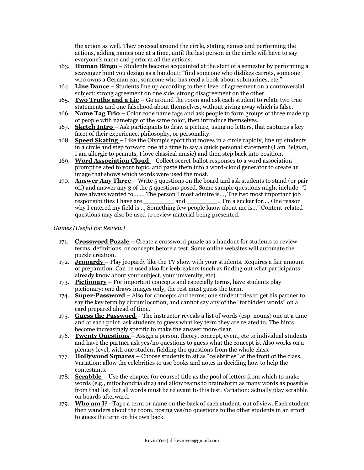the action as well. They proceed around the circle, stating names and performing the actions, adding names one at a time, until the last person in the circle will have to say everyone's name and perform all the actions.

- 163. **Human Bingo** Students become acquainted at the start of a semester by performing a scavenger hunt you design as a handout: "find someone who dislikes carrots, someone who owns a German car, someone who has read a book about submarines, etc."
- 164. **Line Dance** Students line up according to their level of agreement on a controversial subject: strong agreement on one side, strong disagreement on the other.
- 165. **Two Truths and a Lie** Go around the room and ask each student to relate two true statements and one falsehood about themselves, without giving away which is false.
- 166. **Name Tag Trio**  Color code name tags and ask people to form groups of three made up of people with nametags of the same color, then introduce themselves.
- 167. **Sketch Intro**  Ask participants to draw a picture, using no letters, that captures a key facet of their experience, philosophy, or personality.
- 168. **Speed Skating**  Like the Olympic sport that moves in a circle rapidly, line up students in a circle and step forward one at a time to say a quick personal statement (I am Belgian, I am allergic to peanuts, I love classical music) and then step back into position.
- 169. **Word Association Cloud**  Collect secret-ballot responses to a word association prompt related to your topic, and paste them into a word-cloud generator to create an image that shows which words were used the most.
- 170. **Answer Any Three** Write 5 questions on the board and ask students to stand (or pair off) and answer any 3 of the  $5$  questions posed. Some sample questions might include:  $\lq$ have always wanted to……, The person I most admire is…, The two most important job responsibilities I have are \_\_\_\_\_\_\_\_ and \_\_\_\_\_\_\_\_., I'm a sucker for…, One reason why I entered my field is..., Something few people know about me is..." Content-related questions may also be used to review material being presented.

## *Games (Useful for Review)*

- 171. **Crossword Puzzle**  Create a crossword puzzle as a handout for students to review terms, definitions, or concepts before a test. Some online websites will automate the puzzle creation.
- 172. **Jeopardy**  Play jeopardy like the TV show with your students. Requires a fair amount of preparation. Can be used also for icebreakers (such as finding out what participants already know about your subject, your university, etc).
- 173. **Pictionary** For important concepts and especially terms, have students play pictionary: one draws images only, the rest must guess the term.
- 174. **Super-Password** Also for concepts and terms; one student tries to get his partner to say the key term by circumlocution, and cannot say any of the "forbidden words" on a card prepared ahead of time.
- 175. **Guess the Password**  The instructor reveals a list of words (esp. nouns) one at a time and at each point, ask students to guess what key term they are related to. The hints become increasingly specific to make the answer more clear.
- 176. **Twenty Questions**  Assign a person, theory, concept, event, etc to individual students and have the partner ask yes/no questions to guess what the concept is. Also works on a plenary level, with one student fielding the questions from the whole class.
- 177. **Hollywood Squares** Choose students to sit as "celebrities" at the front of the class. Variation: allow the celebrities to use books and notes in deciding how to help the contestants.
- 178. **Scrabble**  Use the chapter (or course) title as the pool of letters from which to make words (e.g., mitochondrialdna) and allow teams to brainstorm as many words as possible from that list, but all words must be relevant to this test. Variation: actually play scrabble on boards afterward.
- 179. **Who am I**? Tape a term or name on the back of each student, out of view. Each student then wanders about the room, posing yes/no questions to the other students in an effort to guess the term on his own back.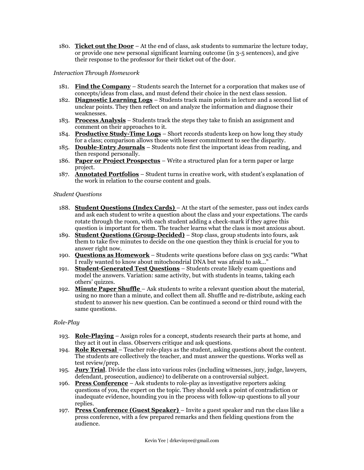180. **Ticket out the Door** – At the end of class, ask students to summarize the lecture today, or provide one new personal significant learning outcome (in 3-5 sentences), and give their response to the professor for their ticket out of the door.

# *Interaction Through Homework*

- 181. **Find the Company** Students search the Internet for a corporation that makes use of concepts/ideas from class, and must defend their choice in the next class session.
- 182. **Diagnostic Learning Logs** Students track main points in lecture and a second list of unclear points. They then reflect on and analyze the information and diagnose their weaknesses.
- 183. **Process Analysis** Students track the steps they take to finish an assignment and comment on their approaches to it.
- 184. **Productive Study-Time Logs** Short records students keep on how long they study for a class; comparison allows those with lesser commitment to see the disparity.
- 185. **Double-Entry Journals** Students note first the important ideas from reading, and then respond personally.
- 186. **Paper or Project Prospectus** Write a structured plan for a term paper or large project.
- 187. **Annotated Portfolios** Student turns in creative work, with student's explanation of the work in relation to the course content and goals.

#### *Student Questions*

- 188. **Student Questions (Index Cards)**  At the start of the semester, pass out index cards and ask each student to write a question about the class and your expectations. The cards rotate through the room, with each student adding a check-mark if they agree this question is important for them. The teacher learns what the class is most anxious about.
- 189. **Student Questions (Group-Decided)** Stop class, group students into fours, ask them to take five minutes to decide on the one question they think is crucial for you to answer right now.
- 190. **Questions as Homework** Students write questions before class on 3x5 cards: "What I really wanted to know about mitochondrial DNA but was afraid to ask...'
- 191. **Student-Generated Test Questions** Students create likely exam questions and model the answers. Variation: same activity, but with students in teams, taking each others' quizzes.
- 192. **Minute Paper Shuffle**  Ask students to write a relevant question about the material, using no more than a minute, and collect them all. Shuffle and re-distribute, asking each student to answer his new question. Can be continued a second or third round with the same questions.

## *Role-Play*

- 193. **Role-Playing** Assign roles for a concept, students research their parts at home, and they act it out in class. Observers critique and ask questions.
- 194. **Role Reversal**  Teacher role-plays as the student, asking questions about the content. The students are collectively the teacher, and must answer the questions. Works well as test review/prep.
- 195. **Jury Trial**. Divide the class into various roles (including witnesses, jury, judge, lawyers, defendant, prosecution, audience) to deliberate on a controversial subject.
- 196. **Press Conference** Ask students to role-play as investigative reporters asking questions of you, the expert on the topic. They should seek a point of contradiction or inadequate evidence, hounding you in the process with follow-up questions to all your replies.
- 197. **Press Conference (Guest Speaker)**  Invite a guest speaker and run the class like a press conference, with a few prepared remarks and then fielding questions from the audience.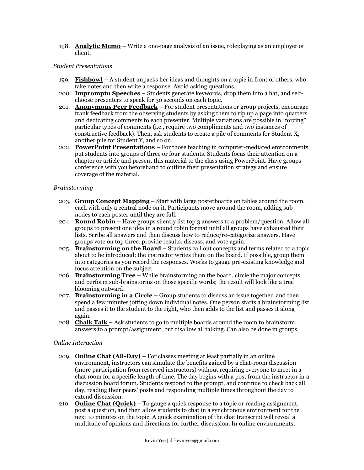198. **Analytic Memo** – Write a one-page analysis of an issue, roleplaying as an employer or client.

#### *Student Presentations*

- 199. **Fishbowl** A student unpacks her ideas and thoughts on a topic in front of others, who take notes and then write a response. Avoid asking questions.
- 200. **Impromptu Speeches** Students generate keywords, drop them into a hat, and selfchoose presenters to speak for 30 seconds on each topic.
- 201. **Anonymous Peer Feedback** For student presentations or group projects, encourage frank feedback from the observing students by asking them to rip up a page into quarters and dedicating comments to each presenter. Multiple variations are possible in "forcing" particular types of comments (i.e., require two compliments and two instances of constructive feedback). Then, ask students to create a pile of comments for Student X, another pile for Student Y, and so on.
- 202. **PowerPoint Presentations** For those teaching in computer-mediated environments, put students into groups of three or four students. Students focus their attention on a chapter or article and present this material to the class using PowerPoint. Have groups conference with you beforehand to outline their presentation strategy and ensure coverage of the material.

## *Brainstorming*

- 203. **Group Concept Mapping** Start with large posterboards on tables around the room, each with only a central node on it. Participants move around the room, adding subnodes to each poster until they are full.
- 204. **Round Robin** Have groups silently list top 3 answers to a problem/question. Allow all groups to present one idea in a round robin format until all groups have exhausted their lists. Scribe all answers and then discuss how to reduce/re-categorize answers. Have groups vote on top three, provide results, discuss, and vote again.
- 205. **Brainstorming on the Board** Students call out concepts and terms related to a topic about to be introduced; the instructor writes them on the board. If possible, group them into categories as you record the responses. Works to gauge pre-existing knowledge and focus attention on the subject.
- 206. **Brainstorming Tree**  While brainstorming on the board, circle the major concepts and perform sub-brainstorms on those specific words; the result will look like a tree blooming outward.
- 207. **Brainstorming in a Circle**  Group students to discuss an issue together, and then spend a few minutes jotting down individual notes. One person starts a brainstorming list and passes it to the student to the right, who then adds to the list and passes it along again.
- 208. **Chalk Talk**  Ask students to go to multiple boards around the room to brainstorm answers to a prompt/assignment, but disallow all talking. Can also be done in groups.

## *Online Interaction*

- 209. **Online Chat (All-Day)** For classes meeting at least partially in an online environment, instructors can simulate the benefits gained by a chat-room discussion (more participation from reserved instructors) without requiring everyone to meet in a chat room for a specific length of time. The day begins with a post from the instructor in a discussion board forum. Students respond to the prompt, and continue to check back all day, reading their peers' posts and responding multiple times throughout the day to extend discussion.
- 210. **Online Chat (Quick)** To gauge a quick response to a topic or reading assignment, post a question, and then allow students to chat in a synchronous environment for the next 10 minutes on the topic. A quick examination of the chat transcript will reveal a multitude of opinions and directions for further discussion. In online environments,